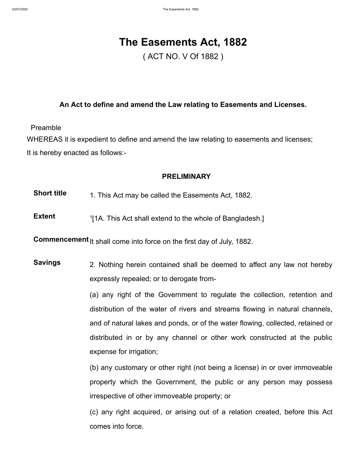# **The Easements Act, 1882**

( ACT NO. V Of 1882 )

## **An Act to define and amend the Law relating to Easements and Licenses.**

Preamble

WHEREAS it is expedient to define and amend the law relating to easements and licenses; It is hereby enacted as follows:-

## **PRELIMINARY**

**Short title** 1. This Act may be called the [Easements Act, 1882](http://bdlaws.minlaw.gov.bd/act-49.html).

**Extent [1](http://bdlaws.minlaw.gov.bd/1)1A.** This Act shall extend to the whole of Bangladesh.]

**Commencement** It shall come into force on the first day of July, 1882.

**Savings** 2. Nothing herein contained shall be deemed to affect any law not hereby expressly repealed; or to derogate from-

> (a) any right of the Government to regulate the collection, retention and distribution of the water of rivers and streams flowing in natural channels, and of natural lakes and ponds, or of the water flowing, collected, retained or distributed in or by any channel or other work constructed at the public expense for irrigation;

> (b) any customary or other right (not being a license) in or over immoveable property which the Government, the public or any person may possess irrespective of other immoveable property; or

> (c) any right acquired, or arising out of a relation created, before this Act comes into force.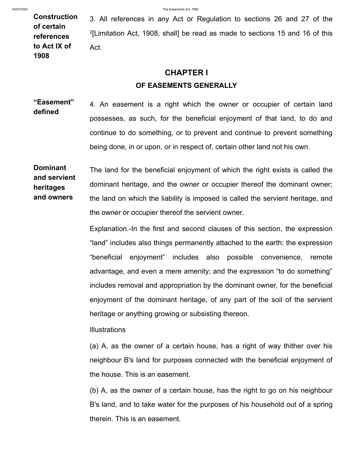**Construction of certain references to Act IX of 1908**

3. All references in any Act or Regulation to sections 26 and 27 of the  $2$ [\[Limitation Act, 1908](http://bdlaws.minlaw.gov.bd/act-88.html), shall] be read as made to sections 15 and 16 of this Act.

# **CHAPTER I OF EASEMENTS GENERALLY**

**"Easement" defined** 4. An easement is a right which the owner or occupier of certain land possesses, as such, for the beneficial enjoyment of that land, to do and continue to do something, or to prevent and continue to prevent something being done, in or upon, or in respect of, certain other land not his own.

**Dominant and servient heritages and owners** The land for the beneficial enjoyment of which the right exists is called the dominant heritage, and the owner or occupier thereof the dominant owner; the land on which the liability is imposed is called the servient heritage, and the owner or occupier thereof the servient owner.

> Explanation.-In the first and second clauses of this section, the expression "land" includes also things permanently attached to the earth: the expression "beneficial enjoyment" includes also possible convenience, remote advantage, and even a mere amenity; and the expression "to do something" includes removal and appropriation by the dominant owner, for the beneficial enjoyment of the dominant heritage, of any part of the soil of the servient heritage or anything growing or subsisting thereon.

**Illustrations** 

(a) A, as the owner of a certain house, has a right of way thither over his neighbour B's land for purposes connected with the beneficial enjoyment of the house. This is an easement.

(b) A, as the owner of a certain house, has the right to go on his neighbour B's land, and to take water for the purposes of his household out of a spring therein. This is an easement.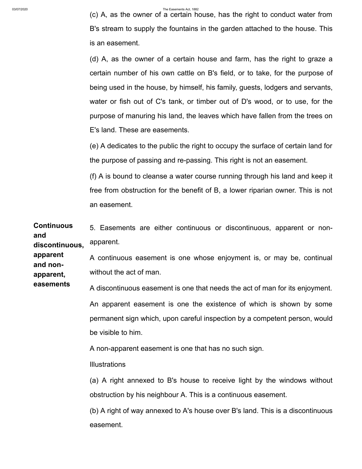(c) A, as the owner of a certain house, has the right to conduct water from B's stream to supply the fountains in the garden attached to the house. This is an easement.

(d) A, as the owner of a certain house and farm, has the right to graze a certain number of his own cattle on B's field, or to take, for the purpose of being used in the house, by himself, his family, guests, lodgers and servants, water or fish out of C's tank, or timber out of D's wood, or to use, for the purpose of manuring his land, the leaves which have fallen from the trees on E's land. These are easements.

(e) A dedicates to the public the right to occupy the surface of certain land for the purpose of passing and re-passing. This right is not an easement.

(f) A is bound to cleanse a water course running through his land and keep it free from obstruction for the benefit of B, a lower riparian owner. This is not an easement.

**Continuous and discontinuous, apparent and nonapparent, easements** 5. Easements are either continuous or discontinuous, apparent or nonapparent. A continuous easement is one whose enjoyment is, or may be, continual without the act of man. A discontinuous easement is one that needs the act of man for its enjoyment. An apparent easement is one the existence of which is shown by some permanent sign which, upon careful inspection by a competent person, would be visible to him. A non-apparent easement is one that has no such sign. **Illustrations** (a) A right annexed to B's house to receive light by the windows without obstruction by his neighbour A. This is a continuous easement. (b) A right of way annexed to A's house over B's land. This is a discontinuous

easement.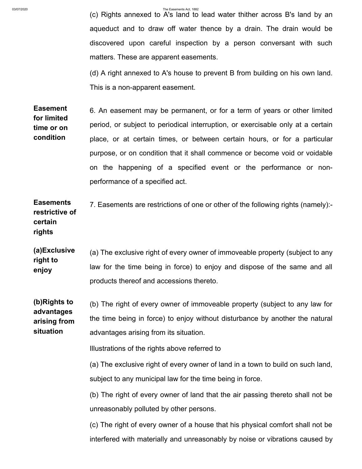(c) Rights annexed to A's land to lead water thither across B's land by an aqueduct and to draw off water thence by a drain. The drain would be discovered upon careful inspection by a person conversant with such matters. These are apparent easements.

(d) A right annexed to A's house to prevent B from building on his own land. This is a non-apparent easement.

**Easement for limited time or on condition** 6. An easement may be permanent, or for a term of years or other limited period, or subject to periodical interruption, or exercisable only at a certain place, or at certain times, or between certain hours, or for a particular purpose, or on condition that it shall commence or become void or voidable on the happening of a specified event or the performance or nonperformance of a specified act.

**Easements restrictive of certain rights** 7. Easements are restrictions of one or other of the following rights (namely):-

**(a)Exclusive right to enjoy** (a) The exclusive right of every owner of immoveable property (subject to any law for the time being in force) to enjoy and dispose of the same and all products thereof and accessions thereto.

**(b)Rights to advantages arising from situation** (b) The right of every owner of immoveable property (subject to any law for the time being in force) to enjoy without disturbance by another the natural advantages arising from its situation.

Illustrations of the rights above referred to

(a) The exclusive right of every owner of land in a town to build on such land, subject to any municipal law for the time being in force.

(b) The right of every owner of land that the air passing thereto shall not be unreasonably polluted by other persons.

(c) The right of every owner of a house that his physical comfort shall not be interfered with materially and unreasonably by noise or vibrations caused by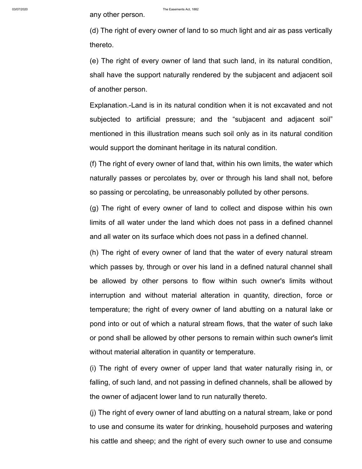(d) The right of every owner of land to so much light and air as pass vertically thereto.

(e) The right of every owner of land that such land, in its natural condition, shall have the support naturally rendered by the subjacent and adjacent soil of another person.

Explanation.-Land is in its natural condition when it is not excavated and not subjected to artificial pressure; and the "subjacent and adjacent soil" mentioned in this illustration means such soil only as in its natural condition would support the dominant heritage in its natural condition.

(f) The right of every owner of land that, within his own limits, the water which naturally passes or percolates by, over or through his land shall not, before so passing or percolating, be unreasonably polluted by other persons.

(g) The right of every owner of land to collect and dispose within his own limits of all water under the land which does not pass in a defined channel and all water on its surface which does not pass in a defined channel.

(h) The right of every owner of land that the water of every natural stream which passes by, through or over his land in a defined natural channel shall be allowed by other persons to flow within such owner's limits without interruption and without material alteration in quantity, direction, force or temperature; the right of every owner of land abutting on a natural lake or pond into or out of which a natural stream flows, that the water of such lake or pond shall be allowed by other persons to remain within such owner's limit without material alteration in quantity or temperature.

(i) The right of every owner of upper land that water naturally rising in, or falling, of such land, and not passing in defined channels, shall be allowed by the owner of adjacent lower land to run naturally thereto.

(j) The right of every owner of land abutting on a natural stream, lake or pond to use and consume its water for drinking, household purposes and watering his cattle and sheep; and the right of every such owner to use and consume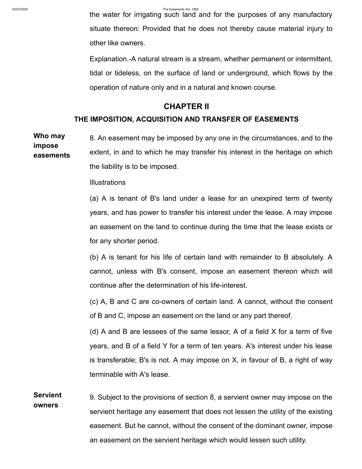the water for irrigating such land and for the purposes of any manufactory situate thereon: Provided that he does not thereby cause material injury to other like owners.

Explanation.-A natural stream is a stream, whether permanent or intermittent, tidal or tideless, on the surface of land or underground, which flows by the operation of nature only and in a natural and known course.

## **CHAPTER II**

# **THE IMPOSITION, ACQUISITION AND TRANSFER OF EASEMENTS**

**Who may impose easements** 8. An easement may be imposed by any one in the circumstances, and to the extent, in and to which he may transfer his interest in the heritage on which the liability is to be imposed.

## **Illustrations**

(a) A is tenant of B's land under a lease for an unexpired term of twenty years, and has power to transfer his interest under the lease. A may impose an easement on the land to continue during the time that the lease exists or for any shorter period.

(b) A is tenant for his life of certain land with remainder to B absolutely. A cannot, unless with B's consent, impose an easement thereon which will continue after the determination of his life-interest.

(c) A, B and C are co-owners of certain land. A cannot, without the consent of B and C, impose an easement on the land or any part thereof.

(d) A and B are lessees of the same lessor, A of a field X for a term of five years, and B of a field Y for a term of ten years. A's interest under his lease is transferable; B's is not. A may impose on X, in favour of B, a right of way terminable with A's lease.

**Servient owners** 9. Subject to the provisions of section 8, a servient owner may impose on the servient heritage any easement that does not lessen the utility of the existing easement. But he cannot, without the consent of the dominant owner, impose an easement on the servient heritage which would lessen such utility.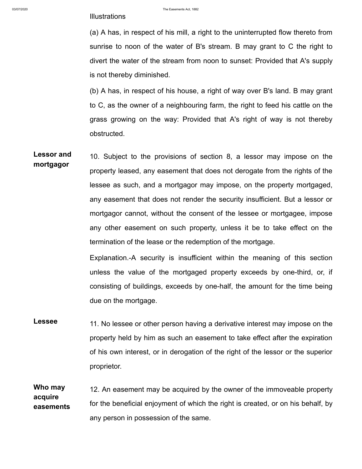(a) A has, in respect of his mill, a right to the uninterrupted flow thereto from sunrise to noon of the water of B's stream. B may grant to C the right to divert the water of the stream from noon to sunset: Provided that A's supply is not thereby diminished.

(b) A has, in respect of his house, a right of way over B's land. B may grant to C, as the owner of a neighbouring farm, the right to feed his cattle on the grass growing on the way: Provided that A's right of way is not thereby obstructed.

**Lessor and mortgagor** 10. Subject to the provisions of section 8, a lessor may impose on the property leased, any easement that does not derogate from the rights of the lessee as such, and a mortgagor may impose, on the property mortgaged, any easement that does not render the security insufficient. But a lessor or mortgagor cannot, without the consent of the lessee or mortgagee, impose any other easement on such property, unless it be to take effect on the termination of the lease or the redemption of the mortgage.

> Explanation.-A security is insufficient within the meaning of this section unless the value of the mortgaged property exceeds by one-third, or, if consisting of buildings, exceeds by one-half, the amount for the time being due on the mortgage.

**Lessee** 11. No lessee or other person having a derivative interest may impose on the property held by him as such an easement to take effect after the expiration of his own interest, or in derogation of the right of the lessor or the superior proprietor.

**Who may acquire easements** 12. An easement may be acquired by the owner of the immoveable property for the beneficial enjoyment of which the right is created, or on his behalf, by any person in possession of the same.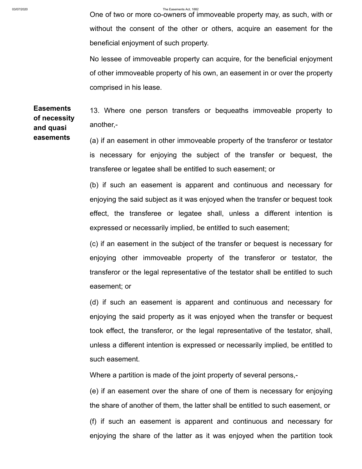**easements**

03/07/2020 The Easements Act, 1882

One of two or more co-owners of immoveable property may, as such, with or without the consent of the other or others, acquire an easement for the beneficial enjoyment of such property.

No lessee of immoveable property can acquire, for the beneficial enjoyment of other immoveable property of his own, an easement in or over the property comprised in his lease.

**Easements of necessity and quasi** 13. Where one person transfers or bequeaths immoveable property to another,-

> (a) if an easement in other immoveable property of the transferor or testator is necessary for enjoying the subject of the transfer or bequest, the transferee or legatee shall be entitled to such easement; or

(b) if such an easement is apparent and continuous and necessary for enjoying the said subject as it was enjoyed when the transfer or bequest took effect, the transferee or legatee shall, unless a different intention is expressed or necessarily implied, be entitled to such easement;

(c) if an easement in the subject of the transfer or bequest is necessary for enjoying other immoveable property of the transferor or testator, the transferor or the legal representative of the testator shall be entitled to such easement; or

(d) if such an easement is apparent and continuous and necessary for enjoying the said property as it was enjoyed when the transfer or bequest took effect, the transferor, or the legal representative of the testator, shall, unless a different intention is expressed or necessarily implied, be entitled to such easement.

Where a partition is made of the joint property of several persons,-

(e) if an easement over the share of one of them is necessary for enjoying the share of another of them, the latter shall be entitled to such easement, or (f) if such an easement is apparent and continuous and necessary for enjoying the share of the latter as it was enjoyed when the partition took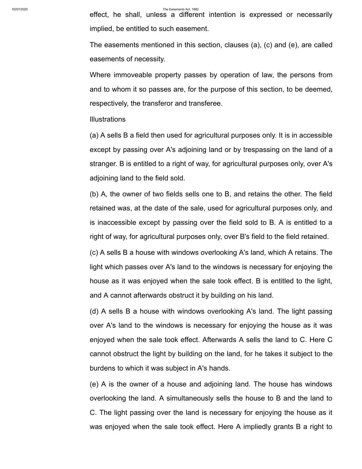effect, he shall, unless a different intention is expressed or necessarily implied, be entitled to such easement.

The easements mentioned in this section, clauses (a), (c) and (e), are called easements of necessity.

Where immoveable property passes by operation of law, the persons from and to whom it so passes are, for the purpose of this section, to be deemed, respectively, the transferor and transferee.

### **Illustrations**

(a) A sells B a field then used for agricultural purposes only. It is in accessible except by passing over A's adjoining land or by trespassing on the land of a stranger. B is entitled to a right of way, for agricultural purposes only, over A's adjoining land to the field sold.

(b) A, the owner of two fields sells one to B, and retains the other. The field retained was, at the date of the sale, used for agricultural purposes only, and is inaccessible except by passing over the field sold to B. A is entitled to a right of way, for agricultural purposes only, over B's field to the field retained.

(c) A sells B a house with windows overlooking A's land, which A retains. The light which passes over A's land to the windows is necessary for enjoying the house as it was enjoyed when the sale took effect. B is entitled to the light, and A cannot afterwards obstruct it by building on his land.

(d) A sells B a house with windows overlooking A's land. The light passing over A's land to the windows is necessary for enjoying the house as it was enjoyed when the sale took effect. Afterwards A sells the land to C. Here C cannot obstruct the light by building on the land, for he takes it subject to the burdens to which it was subject in A's hands.

(e) A is the owner of a house and adjoining land. The house has windows overlooking the land. A simultaneously sells the house to B and the land to C. The light passing over the land is necessary for enjoying the house as it was enjoyed when the sale took effect. Here A impliedly grants B a right to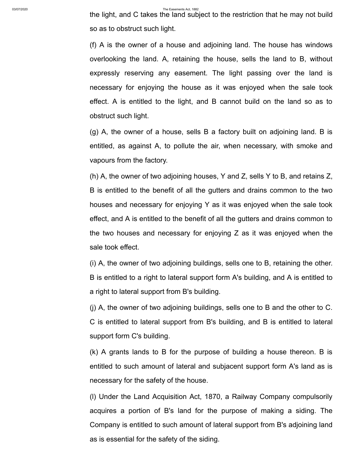the light, and C takes the land subject to the restriction that he may not build so as to obstruct such light.

(f) A is the owner of a house and adjoining land. The house has windows overlooking the land. A, retaining the house, sells the land to B, without expressly reserving any easement. The light passing over the land is necessary for enjoying the house as it was enjoyed when the sale took effect. A is entitled to the light, and B cannot build on the land so as to obstruct such light.

(g) A, the owner of a house, sells B a factory built on adjoining land. B is entitled, as against A, to pollute the air, when necessary, with smoke and vapours from the factory.

(h) A, the owner of two adjoining houses, Y and Z, sells Y to B, and retains Z, B is entitled to the benefit of all the gutters and drains common to the two houses and necessary for enjoying Y as it was enjoyed when the sale took effect, and A is entitled to the benefit of all the gutters and drains common to the two houses and necessary for enjoying Z as it was enjoyed when the sale took effect.

(i) A, the owner of two adjoining buildings, sells one to B, retaining the other. B is entitled to a right to lateral support form A's building, and A is entitled to a right to lateral support from B's building.

(j) A, the owner of two adjoining buildings, sells one to B and the other to C. C is entitled to lateral support from B's building, and B is entitled to lateral support form C's building.

(k) A grants lands to B for the purpose of building a house thereon. B is entitled to such amount of lateral and subjacent support form A's land as is necessary for the safety of the house.

(l) Under the Land Acquisition Act, 1870, a Railway Company compulsorily acquires a portion of B's land for the purpose of making a siding. The Company is entitled to such amount of lateral support from B's adjoining land as is essential for the safety of the siding.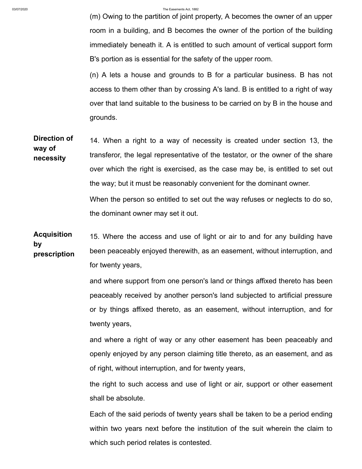(m) Owing to the partition of joint property, A becomes the owner of an upper room in a building, and B becomes the owner of the portion of the building immediately beneath it. A is entitled to such amount of vertical support form B's portion as is essential for the safety of the upper room.

(n) A lets a house and grounds to B for a particular business. B has not access to them other than by crossing A's land. B is entitled to a right of way over that land suitable to the business to be carried on by B in the house and grounds.

**Direction of way of necessity** 14. When a right to a way of necessity is created under section 13, the transferor, the legal representative of the testator, or the owner of the share over which the right is exercised, as the case may be, is entitled to set out the way; but it must be reasonably convenient for the dominant owner. When the person so entitled to set out the way refuses or neglects to do so, the dominant owner may set it out.

**Acquisition by prescription** 15. Where the access and use of light or air to and for any building have been peaceably enjoyed therewith, as an easement, without interruption, and for twenty years,

> and where support from one person's land or things affixed thereto has been peaceably received by another person's land subjected to artificial pressure or by things affixed thereto, as an easement, without interruption, and for twenty years,

> and where a right of way or any other easement has been peaceably and openly enjoyed by any person claiming title thereto, as an easement, and as of right, without interruption, and for twenty years,

> the right to such access and use of light or air, support or other easement shall be absolute.

> Each of the said periods of twenty years shall be taken to be a period ending within two years next before the institution of the suit wherein the claim to which such period relates is contested.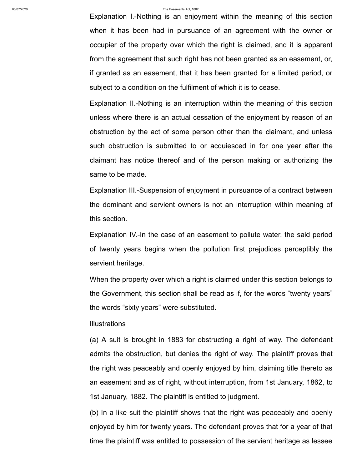Explanation I.-Nothing is an enjoyment within the meaning of this section when it has been had in pursuance of an agreement with the owner or occupier of the property over which the right is claimed, and it is apparent from the agreement that such right has not been granted as an easement, or, if granted as an easement, that it has been granted for a limited period, or subject to a condition on the fulfilment of which it is to cease.

Explanation II.-Nothing is an interruption within the meaning of this section unless where there is an actual cessation of the enjoyment by reason of an obstruction by the act of some person other than the claimant, and unless such obstruction is submitted to or acquiesced in for one year after the claimant has notice thereof and of the person making or authorizing the same to be made.

Explanation III.-Suspension of enjoyment in pursuance of a contract between the dominant and servient owners is not an interruption within meaning of this section.

Explanation IV.-In the case of an easement to pollute water, the said period of twenty years begins when the pollution first prejudices perceptibly the servient heritage.

When the property over which a right is claimed under this section belongs to the Government, this section shall be read as if, for the words "twenty years" the words "sixty years" were substituted.

## **Illustrations**

(a) A suit is brought in 1883 for obstructing a right of way. The defendant admits the obstruction, but denies the right of way. The plaintiff proves that the right was peaceably and openly enjoyed by him, claiming title thereto as an easement and as of right, without interruption, from 1st January, 1862, to 1st January, 1882. The plaintiff is entitled to judgment.

(b) In a like suit the plaintiff shows that the right was peaceably and openly enjoyed by him for twenty years. The defendant proves that for a year of that time the plaintiff was entitled to possession of the servient heritage as lessee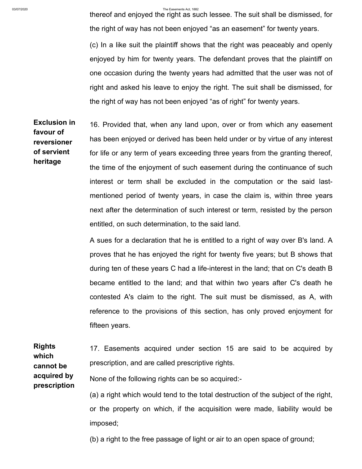thereof and enjoyed the right as such lessee. The suit shall be dismissed, for the right of way has not been enjoyed "as an easement" for twenty years.

(c) In a like suit the plaintiff shows that the right was peaceably and openly enjoyed by him for twenty years. The defendant proves that the plaintiff on one occasion during the twenty years had admitted that the user was not of right and asked his leave to enjoy the right. The suit shall be dismissed, for the right of way has not been enjoyed "as of right" for twenty years.

**Exclusion in favour of reversioner of servient heritage** 16. Provided that, when any land upon, over or from which any easement has been enjoyed or derived has been held under or by virtue of any interest for life or any term of years exceeding three years from the granting thereof, the time of the enjoyment of such easement during the continuance of such interest or term shall be excluded in the computation or the said lastmentioned period of twenty years, in case the claim is, within three years next after the determination of such interest or term, resisted by the person entitled, on such determination, to the said land.

> A sues for a declaration that he is entitled to a right of way over B's land. A proves that he has enjoyed the right for twenty five years; but B shows that during ten of these years C had a life-interest in the land; that on C's death B became entitled to the land; and that within two years after C's death he contested A's claim to the right. The suit must be dismissed, as A, with reference to the provisions of this section, has only proved enjoyment for fifteen years.

**Rights which cannot be acquired by prescription** 17. Easements acquired under section 15 are said to be acquired by prescription, and are called prescriptive rights. None of the following rights can be so acquired:- (a) a right which would tend to the total destruction of the subject of the right, or the property on which, if the acquisition were made, liability would be

imposed;

(b) a right to the free passage of light or air to an open space of ground;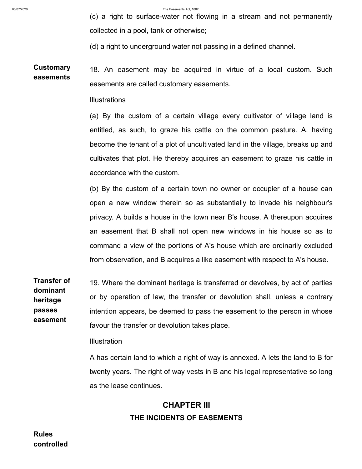(c) a right to surface-water not flowing in a stream and not permanently collected in a pool, tank or otherwise;

(d) a right to underground water not passing in a defined channel.

**Customary easements** 18. An easement may be acquired in virtue of a local custom. Such easements are called customary easements.

Illustrations

(a) By the custom of a certain village every cultivator of village land is entitled, as such, to graze his cattle on the common pasture. A, having become the tenant of a plot of uncultivated land in the village, breaks up and cultivates that plot. He thereby acquires an easement to graze his cattle in accordance with the custom.

(b) By the custom of a certain town no owner or occupier of a house can open a new window therein so as substantially to invade his neighbour's privacy. A builds a house in the town near B's house. A thereupon acquires an easement that B shall not open new windows in his house so as to command a view of the portions of A's house which are ordinarily excluded from observation, and B acquires a like easement with respect to A's house.

**Transfer of dominant heritage passes easement** 19. Where the dominant heritage is transferred or devolves, by act of parties or by operation of law, the transfer or devolution shall, unless a contrary intention appears, be deemed to pass the easement to the person in whose favour the transfer or devolution takes place.

**Illustration** 

A has certain land to which a right of way is annexed. A lets the land to B for twenty years. The right of way vests in B and his legal representative so long as the lease continues.

# **CHAPTER III THE INCIDENTS OF EASEMENTS**

**Rules controlled**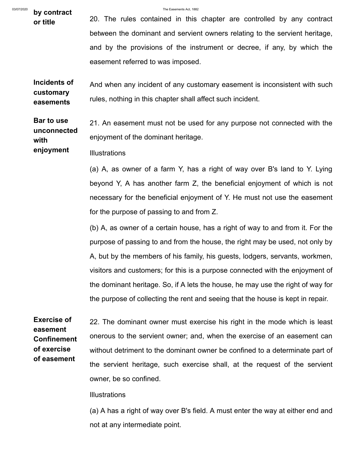03/07/2020 **by contract by contract by contract by contract by by contract b** 

**or title** 20. The rules contained in this chapter are controlled by any contract between the dominant and servient owners relating to the servient heritage, and by the provisions of the instrument or decree, if any, by which the easement referred to was imposed.

**Incidents of customary easements** And when any incident of any customary easement is inconsistent with such rules, nothing in this chapter shall affect such incident.

**Bar to use unconnected with** 21. An easement must not be used for any purpose not connected with the enjoyment of the dominant heritage.

**enjoyment Illustrations** 

> (a) A, as owner of a farm Y, has a right of way over B's land to Y. Lying beyond Y, A has another farm Z, the beneficial enjoyment of which is not necessary for the beneficial enjoyment of Y. He must not use the easement for the purpose of passing to and from Z.

> (b) A, as owner of a certain house, has a right of way to and from it. For the purpose of passing to and from the house, the right may be used, not only by A, but by the members of his family, his guests, lodgers, servants, workmen, visitors and customers; for this is a purpose connected with the enjoyment of the dominant heritage. So, if A lets the house, he may use the right of way for the purpose of collecting the rent and seeing that the house is kept in repair.

**Exercise of easement Confinement of exercise of easement**

22. The dominant owner must exercise his right in the mode which is least onerous to the servient owner; and, when the exercise of an easement can without detriment to the dominant owner be confined to a determinate part of the servient heritage, such exercise shall, at the request of the servient owner, be so confined.

**Illustrations** 

(a) A has a right of way over B's field. A must enter the way at either end and not at any intermediate point.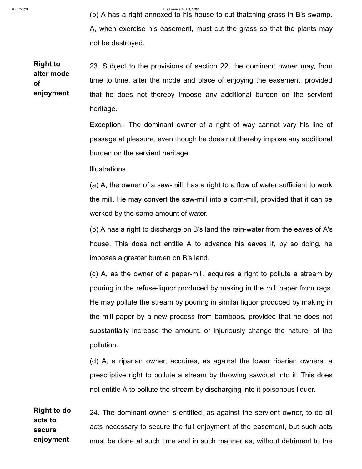(b) A has a right annexed to his house to cut thatching-grass in B's swamp. A, when exercise his easement, must cut the grass so that the plants may not be destroyed.

**Right to alter mode of enjoyment** 23. Subject to the provisions of section 22, the dominant owner may, from time to time, alter the mode and place of enjoying the easement, provided that he does not thereby impose any additional burden on the servient heritage.

> Exception:- The dominant owner of a right of way cannot vary his line of passage at pleasure, even though he does not thereby impose any additional burden on the servient heritage.

Illustrations

(a) A, the owner of a saw-mill, has a right to a flow of water sufficient to work the mill. He may convert the saw-mill into a corn-mill, provided that it can be worked by the same amount of water.

(b) A has a right to discharge on B's land the rain-water from the eaves of A's house. This does not entitle A to advance his eaves if, by so doing, he imposes a greater burden on B's land.

(c) A, as the owner of a paper-mill, acquires a right to pollute a stream by pouring in the refuse-liquor produced by making in the mill paper from rags. He may pollute the stream by pouring in similar liquor produced by making in the mill paper by a new process from bamboos, provided that he does not substantially increase the amount, or injuriously change the nature, of the pollution.

(d) A, a riparian owner, acquires, as against the lower riparian owners, a prescriptive right to pollute a stream by throwing sawdust into it. This does not entitle A to pollute the stream by discharging into it poisonous liquor.

**Right to do acts to secure enjoyment** 24. The dominant owner is entitled, as against the servient owner, to do all acts necessary to secure the full enjoyment of the easement, but such acts must be done at such time and in such manner as, without detriment to the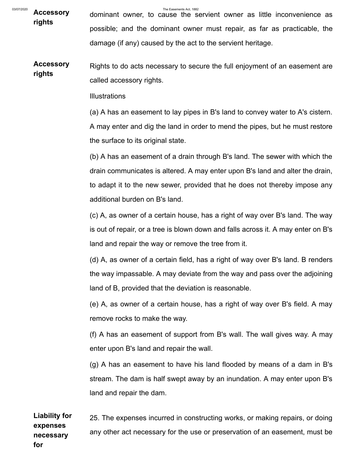<sup>03/07/2020</sup> Accessory dominant owner, to cause the servient owner as little inconvenience as **rights** possible; and the dominant owner must repair, as far as practicable, the damage (if any) caused by the act to the servient heritage.

**Accessory rights** Rights to do acts necessary to secure the full enjoyment of an easement are called accessory rights.

**Illustrations** 

(a) A has an easement to lay pipes in B's land to convey water to A's cistern. A may enter and dig the land in order to mend the pipes, but he must restore the surface to its original state.

(b) A has an easement of a drain through B's land. The sewer with which the drain communicates is altered. A may enter upon B's land and alter the drain, to adapt it to the new sewer, provided that he does not thereby impose any additional burden on B's land.

(c) A, as owner of a certain house, has a right of way over B's land. The way is out of repair, or a tree is blown down and falls across it. A may enter on B's land and repair the way or remove the tree from it.

(d) A, as owner of a certain field, has a right of way over B's land. B renders the way impassable. A may deviate from the way and pass over the adjoining land of B, provided that the deviation is reasonable.

(e) A, as owner of a certain house, has a right of way over B's field. A may remove rocks to make the way.

(f) A has an easement of support from B's wall. The wall gives way. A may enter upon B's land and repair the wall.

(g) A has an easement to have his land flooded by means of a dam in B's stream. The dam is half swept away by an inundation. A may enter upon B's land and repair the dam.

**Liability for expenses necessary for** 25. The expenses incurred in constructing works, or making repairs, or doing any other act necessary for the use or preservation of an easement, must be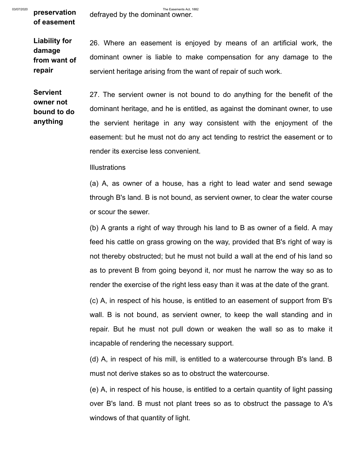**of easement**

**Liability for damage from want of repair**

26. Where an easement is enjoyed by means of an artificial work, the dominant owner is liable to make compensation for any damage to the servient heritage arising from the want of repair of such work.

**Servient owner not bound to do anything**

27. The servient owner is not bound to do anything for the benefit of the dominant heritage, and he is entitled, as against the dominant owner, to use the servient heritage in any way consistent with the enjoyment of the easement: but he must not do any act tending to restrict the easement or to render its exercise less convenient.

**Illustrations** 

(a) A, as owner of a house, has a right to lead water and send sewage through B's land. B is not bound, as servient owner, to clear the water course or scour the sewer.

(b) A grants a right of way through his land to B as owner of a field. A may feed his cattle on grass growing on the way, provided that B's right of way is not thereby obstructed; but he must not build a wall at the end of his land so as to prevent B from going beyond it, nor must he narrow the way so as to render the exercise of the right less easy than it was at the date of the grant.

(c) A, in respect of his house, is entitled to an easement of support from B's wall. B is not bound, as servient owner, to keep the wall standing and in repair. But he must not pull down or weaken the wall so as to make it incapable of rendering the necessary support.

(d) A, in respect of his mill, is entitled to a watercourse through B's land. B must not derive stakes so as to obstruct the watercourse.

(e) A, in respect of his house, is entitled to a certain quantity of light passing over B's land. B must not plant trees so as to obstruct the passage to A's windows of that quantity of light.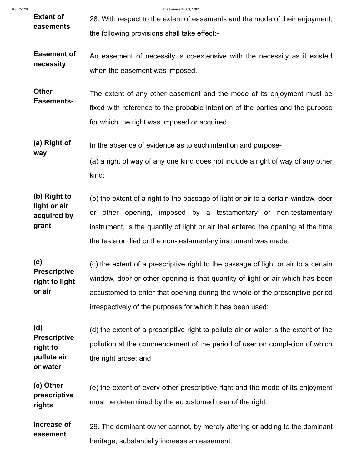**way**

03/07/2020 The Easements Act, 1882

- **Extent of easements** 28. With respect to the extent of easements and the mode of their enjoyment, the following provisions shall take effect:-
- **Easement of necessity** An easement of necessity is co-extensive with the necessity as it existed when the easement was imposed.

**Other Easements-**The extent of any other easement and the mode of its enjoyment must be fixed with reference to the probable intention of the parties and the purpose for which the right was imposed or acquired.

**(a) Right of** In the absence of evidence as to such intention and purpose-

> (a) a right of way of any one kind does not include a right of way of any other kind:

**(b) Right to light or air acquired by grant** (b) the extent of a right to the passage of light or air to a certain window, door or other opening, imposed by a testamentary or non-testamentary instrument, is the quantity of light or air that entered the opening at the time the testator died or the non-testamentary instrument was made:

**(c) Prescriptive right to light or air** (c) the extent of a prescriptive right to the passage of light or air to a certain window, door or other opening is that quantity of light or air which has been accustomed to enter that opening during the whole of the prescriptive period irrespectively of the purposes for which it has been used:

**(d) Prescriptive right to pollute air or water** (d) the extent of a prescriptive right to pollute air or water is the extent of the pollution at the commencement of the period of user on completion of which the right arose: and

**(e) Other prescriptive rights** (e) the extent of every other prescriptive right and the mode of its enjoyment must be determined by the accustomed user of the right.

**Increase of easement** 29. The dominant owner cannot, by merely altering or adding to the dominant heritage, substantially increase an easement.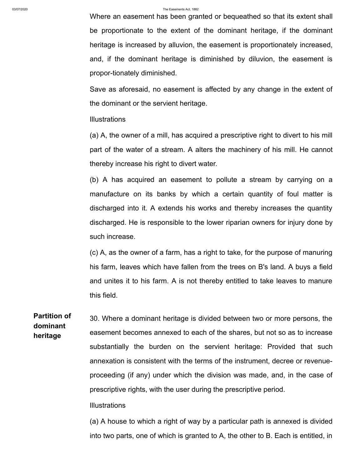Where an easement has been granted or bequeathed so that its extent shall be proportionate to the extent of the dominant heritage, if the dominant heritage is increased by alluvion, the easement is proportionately increased, and, if the dominant heritage is diminished by diluvion, the easement is propor-tionately diminished.

Save as aforesaid, no easement is affected by any change in the extent of the dominant or the servient heritage.

### **Illustrations**

(a) A, the owner of a mill, has acquired a prescriptive right to divert to his mill part of the water of a stream. A alters the machinery of his mill. He cannot thereby increase his right to divert water.

(b) A has acquired an easement to pollute a stream by carrying on a manufacture on its banks by which a certain quantity of foul matter is discharged into it. A extends his works and thereby increases the quantity discharged. He is responsible to the lower riparian owners for injury done by such increase.

(c) A, as the owner of a farm, has a right to take, for the purpose of manuring his farm, leaves which have fallen from the trees on B's land. A buys a field and unites it to his farm. A is not thereby entitled to take leaves to manure this field.

**Partition of dominant heritage** 30. Where a dominant heritage is divided between two or more persons, the easement becomes annexed to each of the shares, but not so as to increase substantially the burden on the servient heritage: Provided that such annexation is consistent with the terms of the instrument, decree or revenueproceeding (if any) under which the division was made, and, in the case of prescriptive rights, with the user during the prescriptive period.

## Illustrations

(a) A house to which a right of way by a particular path is annexed is divided into two parts, one of which is granted to A, the other to B. Each is entitled, in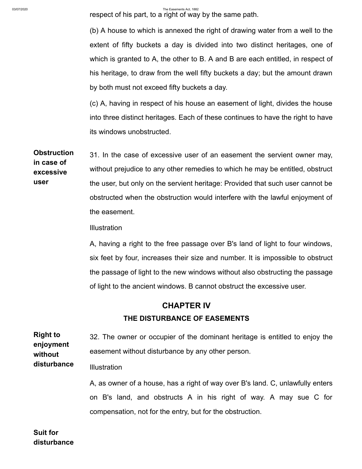respect of his part, to a right of way by the same path.

(b) A house to which is annexed the right of drawing water from a well to the extent of fifty buckets a day is divided into two distinct heritages, one of which is granted to A, the other to B. A and B are each entitled, in respect of his heritage, to draw from the well fifty buckets a day; but the amount drawn by both must not exceed fifty buckets a day.

(c) A, having in respect of his house an easement of light, divides the house into three distinct heritages. Each of these continues to have the right to have its windows unobstructed.

**Obstruction in case of excessive user** 31. In the case of excessive user of an easement the servient owner may, without prejudice to any other remedies to which he may be entitled, obstruct the user, but only on the servient heritage: Provided that such user cannot be obstructed when the obstruction would interfere with the lawful enjoyment of the easement.

**Illustration** 

A, having a right to the free passage over B's land of light to four windows, six feet by four, increases their size and number. It is impossible to obstruct the passage of light to the new windows without also obstructing the passage of light to the ancient windows. B cannot obstruct the excessive user.

# **CHAPTER IV THE DISTURBANCE OF EASEMENTS**

**Right to enjoyment without disturbance** 32. The owner or occupier of the dominant heritage is entitled to enjoy the easement without disturbance by any other person. **Illustration** 

> A, as owner of a house, has a right of way over B's land. C, unlawfully enters on B's land, and obstructs A in his right of way. A may sue C for compensation, not for the entry, but for the obstruction.

**Suit for disturbance**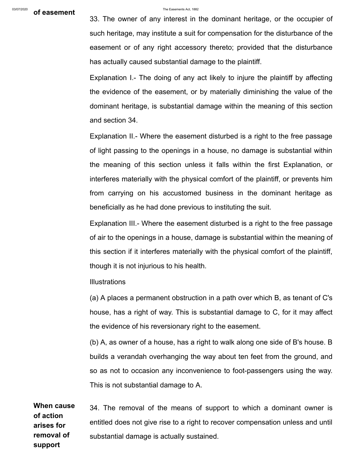33. The owner of any interest in the dominant heritage, or the occupier of such heritage, may institute a suit for compensation for the disturbance of the easement or of any right accessory thereto; provided that the disturbance has actually caused substantial damage to the plaintiff.

Explanation I.- The doing of any act likely to injure the plaintiff by affecting the evidence of the easement, or by materially diminishing the value of the dominant heritage, is substantial damage within the meaning of this section and section 34.

Explanation II.- Where the easement disturbed is a right to the free passage of light passing to the openings in a house, no damage is substantial within the meaning of this section unless it falls within the first Explanation, or interferes materially with the physical comfort of the plaintiff, or prevents him from carrying on his accustomed business in the dominant heritage as beneficially as he had done previous to instituting the suit.

Explanation III.- Where the easement disturbed is a right to the free passage of air to the openings in a house, damage is substantial within the meaning of this section if it interferes materially with the physical comfort of the plaintiff, though it is not injurious to his health.

**Illustrations** 

(a) A places a permanent obstruction in a path over which B, as tenant of C's house, has a right of way. This is substantial damage to C, for it may affect the evidence of his reversionary right to the easement.

(b) A, as owner of a house, has a right to walk along one side of B's house. B builds a verandah overhanging the way about ten feet from the ground, and so as not to occasion any inconvenience to foot-passengers using the way. This is not substantial damage to A.

**When cause of action arises for removal of support** 34. The removal of the means of support to which a dominant owner is entitled does not give rise to a right to recover compensation unless and until substantial damage is actually sustained.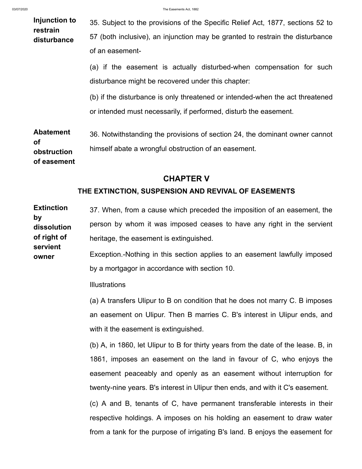**of easement**

**owner**

| Injunction to<br>restrain<br>disturbance     | 35. Subject to the provisions of the Specific Relief Act, 1877, sections 52 to<br>57 (both inclusive), an injunction may be granted to restrain the disturbance<br>of an easement- |  |
|----------------------------------------------|------------------------------------------------------------------------------------------------------------------------------------------------------------------------------------|--|
|                                              | (a) if the easement is actually disturbed-when compensation for such<br>disturbance might be recovered under this chapter:                                                         |  |
|                                              | (b) if the disturbance is only threatened or intended-when the act threatened<br>or intended must necessarily, if performed, disturb the easement.                                 |  |
| <b>Abatement</b><br><b>of</b><br>obstruction | 36. Notwithstanding the provisions of section 24, the dominant owner cannot<br>himself abate a wrongful obstruction of an easement.                                                |  |

# **CHAPTER V**

## **THE EXTINCTION, SUSPENSION AND REVIVAL OF EASEMENTS**

**Extinction by dissolution of right of servient** 37. When, from a cause which preceded the imposition of an easement, the person by whom it was imposed ceases to have any right in the servient heritage, the easement is extinguished.

> Exception.-Nothing in this section applies to an easement lawfully imposed by a mortgagor in accordance with section 10.

Illustrations

(a) A transfers Ulipur to B on condition that he does not marry C. B imposes an easement on Ulipur. Then B marries C. B's interest in Ulipur ends, and with it the easement is extinguished.

(b) A, in 1860, let Ulipur to B for thirty years from the date of the lease. B, in 1861, imposes an easement on the land in favour of C, who enjoys the easement peaceably and openly as an easement without interruption for twenty-nine years. B's interest in Ulipur then ends, and with it C's easement.

(c) A and B, tenants of C, have permanent transferable interests in their respective holdings. A imposes on his holding an easement to draw water from a tank for the purpose of irrigating B's land. B enjoys the easement for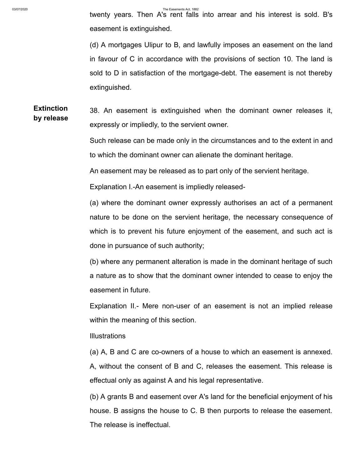twenty years. Then A's rent falls into arrear and his interest is sold. B's easement is extinguished.

(d) A mortgages Ulipur to B, and lawfully imposes an easement on the land in favour of C in accordance with the provisions of section 10. The land is sold to D in satisfaction of the mortgage-debt. The easement is not thereby extinguished.

**Extinction by release** 38. An easement is extinguished when the dominant owner releases it, expressly or impliedly, to the servient owner.

> Such release can be made only in the circumstances and to the extent in and to which the dominant owner can alienate the dominant heritage.

An easement may be released as to part only of the servient heritage.

Explanation I.-An easement is impliedly released-

(a) where the dominant owner expressly authorises an act of a permanent nature to be done on the servient heritage, the necessary consequence of which is to prevent his future enjoyment of the easement, and such act is done in pursuance of such authority;

(b) where any permanent alteration is made in the dominant heritage of such a nature as to show that the dominant owner intended to cease to enjoy the easement in future.

Explanation II.- Mere non-user of an easement is not an implied release within the meaning of this section.

**Illustrations** 

(a) A, B and C are co-owners of a house to which an easement is annexed. A, without the consent of B and C, releases the easement. This release is effectual only as against A and his legal representative.

(b) A grants B and easement over A's land for the beneficial enjoyment of his house. B assigns the house to C. B then purports to release the easement. The release is ineffectual.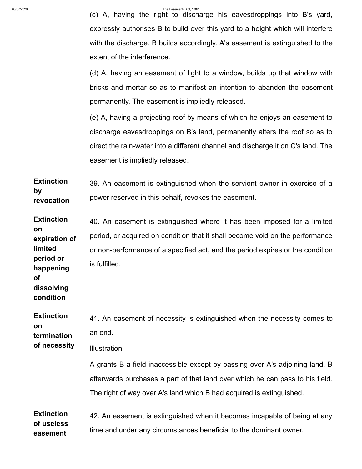(c) A, having the right to discharge his eavesdroppings into B's yard, expressly authorises B to build over this yard to a height which will interfere with the discharge. B builds accordingly. A's easement is extinguished to the extent of the interference.

(d) A, having an easement of light to a window, builds up that window with bricks and mortar so as to manifest an intention to abandon the easement permanently. The easement is impliedly released.

(e) A, having a projecting roof by means of which he enjoys an easement to discharge eavesdroppings on B's land, permanently alters the roof so as to direct the rain-water into a different channel and discharge it on C's land. The easement is impliedly released.

**Extinction by revocation** 39. An easement is extinguished when the servient owner in exercise of a power reserved in this behalf, revokes the easement.

**Extinction on expiration of limited period or happening** 40. An easement is extinguished where it has been imposed for a limited period, or acquired on condition that it shall become void on the performance or non-performance of a specified act, and the period expires or the condition is fulfilled.

**dissolving condition**

**of**

**Extinction on termination** 41. An easement of necessity is extinguished when the necessity comes to an end.

**of necessity Illustration** 

> A grants B a field inaccessible except by passing over A's adjoining land. B afterwards purchases a part of that land over which he can pass to his field. The right of way over A's land which B had acquired is extinguished.

**Extinction of useless easement** 42. An easement is extinguished when it becomes incapable of being at any time and under any circumstances beneficial to the dominant owner.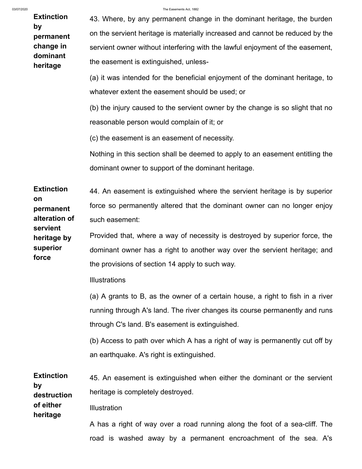**Extinction by permanent change in dominant heritage** 43. Where, by any permanent change in the dominant heritage, the burden on the servient heritage is materially increased and cannot be reduced by the servient owner without interfering with the lawful enjoyment of the easement, the easement is extinguished, unless- (a) it was intended for the beneficial enjoyment of the dominant heritage, to whatever extent the easement should be used; or (b) the injury caused to the servient owner by the change is so slight that no reasonable person would complain of it; or (c) the easement is an easement of necessity. Nothing in this section shall be deemed to apply to an easement entitling the dominant owner to support of the dominant heritage. **Extinction on permanent alteration of servient heritage by superior force** 44. An easement is extinguished where the servient heritage is by superior force so permanently altered that the dominant owner can no longer enjoy such easement: Provided that, where a way of necessity is destroyed by superior force, the dominant owner has a right to another way over the servient heritage; and the provisions of section 14 apply to such way. **Illustrations** (a) A grants to B, as the owner of a certain house, a right to fish in a river running through A's land. The river changes its course permanently and runs through C's land. B's easement is extinguished. (b) Access to path over which A has a right of way is permanently cut off by an earthquake. A's right is extinguished. **Extinction by destruction of either heritage** 45. An easement is extinguished when either the dominant or the servient heritage is completely destroyed. **Illustration** A has a right of way over a road running along the foot of a sea-cliff. The road is washed away by a permanent encroachment of the sea. A's

#### 03/07/2020 The Easements Act, 1882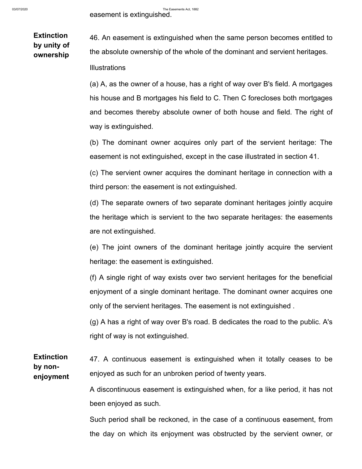**Extinction by unity of ownership** 46. An easement is extinguished when the same person becomes entitled to the absolute ownership of the whole of the dominant and servient heritages.

Illustrations

(a) A, as the owner of a house, has a right of way over B's field. A mortgages his house and B mortgages his field to C. Then C forecloses both mortgages and becomes thereby absolute owner of both house and field. The right of way is extinguished.

(b) The dominant owner acquires only part of the servient heritage: The easement is not extinguished, except in the case illustrated in section 41.

(c) The servient owner acquires the dominant heritage in connection with a third person: the easement is not extinguished.

(d) The separate owners of two separate dominant heritages jointly acquire the heritage which is servient to the two separate heritages: the easements are not extinguished.

(e) The joint owners of the dominant heritage jointly acquire the servient heritage: the easement is extinguished.

(f) A single right of way exists over two servient heritages for the beneficial enjoyment of a single dominant heritage. The dominant owner acquires one only of the servient heritages. The easement is not extinguished .

(g) A has a right of way over B's road. B dedicates the road to the public. A's right of way is not extinguished.

**Extinction by nonenjoyment** 47. A continuous easement is extinguished when it totally ceases to be enjoyed as such for an unbroken period of twenty years.

> A discontinuous easement is extinguished when, for a like period, it has not been enjoyed as such.

> Such period shall be reckoned, in the case of a continuous easement, from the day on which its enjoyment was obstructed by the servient owner, or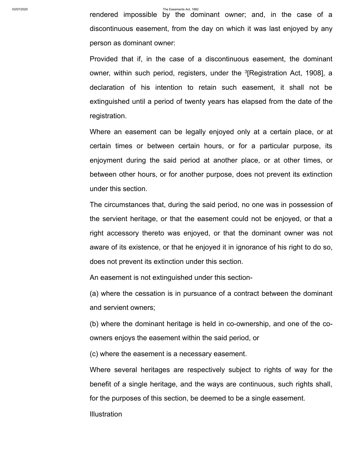rendered impossible by the dominant owner; and, in the case of a discontinuous easement, from the day on which it was last enjoyed by any person as dominant owner:

Provided that if, in the case of a discontinuous easement, the dominant owner, within such period, registers, under the <sup>3</sup>[[Registration Act, 1908\]](http://bdlaws.minlaw.gov.bd/act-90.html), a declaration of his intention to retain such easement, it shall not be extinguished until a period of twenty years has elapsed from the date of the registration.

Where an easement can be legally enjoyed only at a certain place, or at certain times or between certain hours, or for a particular purpose, its enjoyment during the said period at another place, or at other times, or between other hours, or for another purpose, does not prevent its extinction under this section.

The circumstances that, during the said period, no one was in possession of the servient heritage, or that the easement could not be enjoyed, or that a right accessory thereto was enjoyed, or that the dominant owner was not aware of its existence, or that he enjoyed it in ignorance of his right to do so, does not prevent its extinction under this section.

An easement is not extinguished under this section-

(a) where the cessation is in pursuance of a contract between the dominant and servient owners;

(b) where the dominant heritage is held in co-ownership, and one of the coowners enjoys the easement within the said period, or

(c) where the easement is a necessary easement.

Where several heritages are respectively subject to rights of way for the benefit of a single heritage, and the ways are continuous, such rights shall, for the purposes of this section, be deemed to be a single easement.

**Illustration**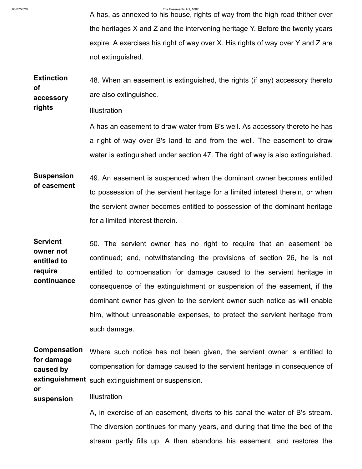**rights**

03/07/2020 The Easements Act, 1882

A has, as annexed to his house, rights of way from the high road thither over the heritages X and Z and the intervening heritage Y. Before the twenty years expire, A exercises his right of way over X. His rights of way over Y and Z are not extinguished.

**Extinction of accessory** 48. When an easement is extinguished, the rights (if any) accessory thereto are also extinguished.

**Illustration** 

A has an easement to draw water from B's well. As accessory thereto he has a right of way over B's land to and from the well. The easement to draw water is extinguished under section 47. The right of way is also extinguished.

**Suspension of easement** 49. An easement is suspended when the dominant owner becomes entitled to possession of the servient heritage for a limited interest therein, or when the servient owner becomes entitled to possession of the dominant heritage for a limited interest therein.

**Servient owner not entitled to require continuance** 50. The servient owner has no right to require that an easement be continued; and, notwithstanding the provisions of section 26, he is not entitled to compensation for damage caused to the servient heritage in consequence of the extinguishment or suspension of the easement, if the dominant owner has given to the servient owner such notice as will enable him, without unreasonable expenses, to protect the servient heritage from such damage.

**Compensation for damage caused by extinguishment** such extinguishment or suspension. Where such notice has not been given, the servient owner is entitled to compensation for damage caused to the servient heritage in consequence of

**suspension Illustration** 

**or**

A, in exercise of an easement, diverts to his canal the water of B's stream. The diversion continues for many years, and during that time the bed of the stream partly fills up. A then abandons his easement, and restores the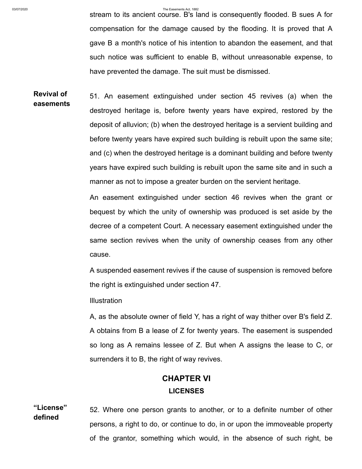stream to its ancient course. B's land is consequently flooded. B sues A for compensation for the damage caused by the flooding. It is proved that A gave B a month's notice of his intention to abandon the easement, and that such notice was sufficient to enable B, without unreasonable expense, to have prevented the damage. The suit must be dismissed.

**Revival of easements** 51. An easement extinguished under section 45 revives (a) when the destroyed heritage is, before twenty years have expired, restored by the deposit of alluvion; (b) when the destroyed heritage is a servient building and before twenty years have expired such building is rebuilt upon the same site; and (c) when the destroyed heritage is a dominant building and before twenty years have expired such building is rebuilt upon the same site and in such a manner as not to impose a greater burden on the servient heritage.

> An easement extinguished under section 46 revives when the grant or bequest by which the unity of ownership was produced is set aside by the decree of a competent Court. A necessary easement extinguished under the same section revives when the unity of ownership ceases from any other cause.

> A suspended easement revives if the cause of suspension is removed before the right is extinguished under section 47.

**Illustration** 

A, as the absolute owner of field Y, has a right of way thither over B's field Z. A obtains from B a lease of Z for twenty years. The easement is suspended so long as A remains lessee of Z. But when A assigns the lease to C, or surrenders it to B, the right of way revives.

# **CHAPTER VI LICENSES**

**"License" defined** 52. Where one person grants to another, or to a definite number of other persons, a right to do, or continue to do, in or upon the immoveable property of the grantor, something which would, in the absence of such right, be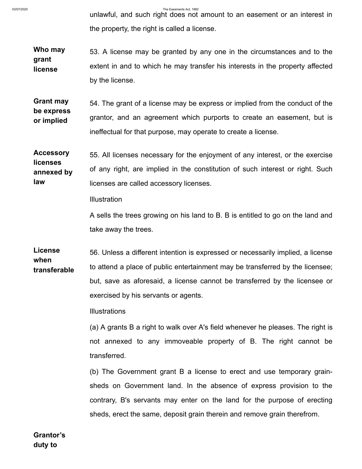unlawful, and such right does not amount to an easement or an interest in the property, the right is called a license.

**Who may grant license** 53. A license may be granted by any one in the circumstances and to the extent in and to which he may transfer his interests in the property affected by the license.

**Grant may be express or implied** 54. The grant of a license may be express or implied from the conduct of the grantor, and an agreement which purports to create an easement, but is ineffectual for that purpose, may operate to create a license.

**Accessory licenses annexed by law** 55. All licenses necessary for the enjoyment of any interest, or the exercise of any right, are implied in the constitution of such interest or right. Such licenses are called accessory licenses.

**Illustration** 

A sells the trees growing on his land to B. B is entitled to go on the land and take away the trees.

**License when transferable** 56. Unless a different intention is expressed or necessarily implied, a license to attend a place of public entertainment may be transferred by the licensee; but, save as aforesaid, a license cannot be transferred by the licensee or exercised by his servants or agents.

Illustrations

(a) A grants B a right to walk over A's field whenever he pleases. The right is not annexed to any immoveable property of B. The right cannot be transferred.

(b) The Government grant B a license to erect and use temporary grainsheds on Government land. In the absence of express provision to the contrary, B's servants may enter on the land for the purpose of erecting sheds, erect the same, deposit grain therein and remove grain therefrom.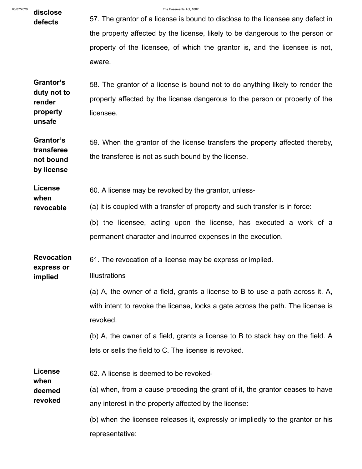| 03/07/2020 | disclose                                    | The Easements Act. 1882                                                         |
|------------|---------------------------------------------|---------------------------------------------------------------------------------|
|            | defects                                     | 57. The grantor of a license is bound to disclose to the licensee any defect in |
|            |                                             | the property affected by the license, likely to be dangerous to the person or   |
|            |                                             | property of the licensee, of which the grantor is, and the licensee is not,     |
|            |                                             | aware.                                                                          |
|            | Grantor's                                   | 58. The grantor of a license is bound not to do anything likely to render the   |
|            | duty not to<br>render                       | property affected by the license dangerous to the person or property of the     |
|            | property<br>unsafe                          | licensee.                                                                       |
|            | Grantor's                                   | 59. When the grantor of the license transfers the property affected thereby,    |
|            | transferee<br>not bound                     | the transferee is not as such bound by the license.                             |
|            | by license                                  |                                                                                 |
|            | <b>License</b><br>when                      | 60. A license may be revoked by the grantor, unless-                            |
|            | revocable                                   | (a) it is coupled with a transfer of property and such transfer is in force:    |
|            |                                             | (b) the licensee, acting upon the license, has executed a work of a             |
|            |                                             | permanent character and incurred expenses in the execution.                     |
|            | <b>Revocation</b>                           | 61. The revocation of a license may be express or implied.                      |
|            | express or<br>implied                       | Illustrations                                                                   |
|            |                                             | (a) A, the owner of a field, grants a license to B to use a path across it. A,  |
|            |                                             | with intent to revoke the license, locks a gate across the path. The license is |
|            |                                             | revoked.                                                                        |
|            |                                             | (b) A, the owner of a field, grants a license to B to stack hay on the field. A |
|            |                                             | lets or sells the field to C. The license is revoked.                           |
|            | <b>License</b><br>when<br>deemed<br>revoked | 62. A license is deemed to be revoked-                                          |
|            |                                             | (a) when, from a cause preceding the grant of it, the grantor ceases to have    |
|            |                                             | any interest in the property affected by the license:                           |
|            |                                             | (b) when the licensee releases it, expressly or impliedly to the grantor or his |
|            |                                             | representative:                                                                 |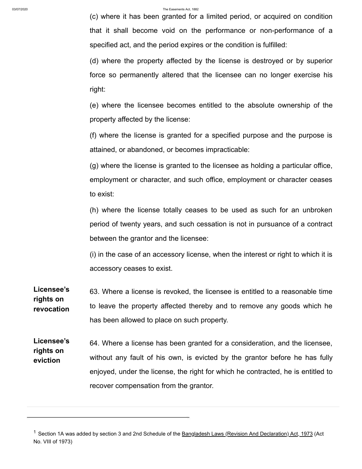(c) where it has been granted for a limited period, or acquired on condition that it shall become void on the performance or non-performance of a specified act, and the period expires or the condition is fulfilled:

(d) where the property affected by the license is destroyed or by superior force so permanently altered that the licensee can no longer exercise his right:

(e) where the licensee becomes entitled to the absolute ownership of the property affected by the license:

(f) where the license is granted for a specified purpose and the purpose is attained, or abandoned, or becomes impracticable:

(g) where the license is granted to the licensee as holding a particular office, employment or character, and such office, employment or character ceases to exist:

(h) where the license totally ceases to be used as such for an unbroken period of twenty years, and such cessation is not in pursuance of a contract between the grantor and the licensee:

(i) in the case of an accessory license, when the interest or right to which it is accessory ceases to exist.

**Licensee's rights on revocation** 63. Where a license is revoked, the licensee is entitled to a reasonable time to leave the property affected thereby and to remove any goods which he has been allowed to place on such property.

**Licensee's rights on eviction** 64. Where a license has been granted for a consideration, and the licensee, without any fault of his own, is evicted by the grantor before he has fully enjoyed, under the license, the right for which he contracted, he is entitled to recover compensation from the grantor.

<sup>&</sup>lt;sup>1</sup> Section 1A was added by section 3 and 2nd Schedule of the <u>[Bangladesh Laws \(Revision And Declaration\) Act, 1973](http://bdlaws.minlaw.gov.bd/act-430.html)</u> (Act No. VIII of 1973)